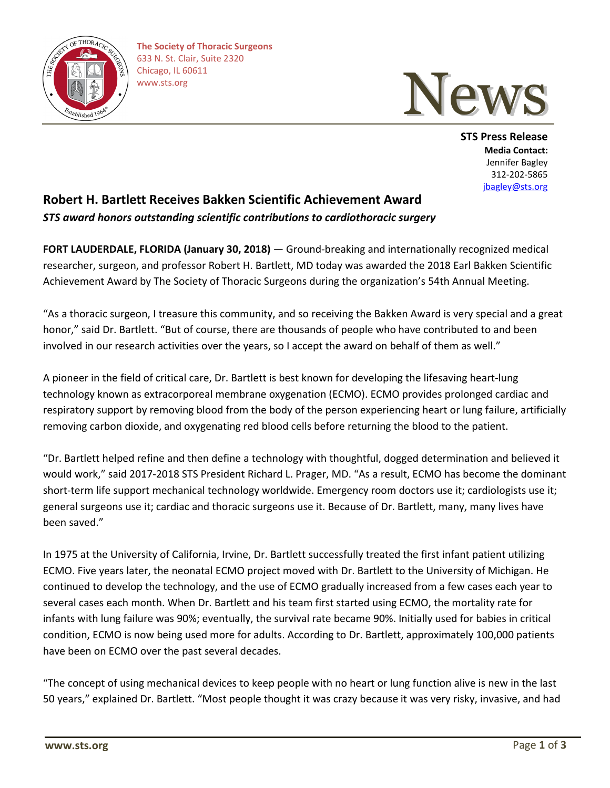



**STS Press Release Media Contact:** Jennifer Bagley 312-202-5865 [jbagley@sts.org](mailto:jbagley@sts.org)

## **Robert H. Bartlett Receives Bakken Scientific Achievement Award** *STS award honors outstanding scientific contributions to cardiothoracic surgery*

**FORT LAUDERDALE, FLORIDA (January 30, 2018)** — Ground-breaking and internationally recognized medical researcher, surgeon, and professor Robert H. Bartlett, MD today was awarded the 2018 Earl Bakken Scientific Achievement Award by The Society of Thoracic Surgeons during the organization's 54th Annual Meeting.

"As a thoracic surgeon, I treasure this community, and so receiving the Bakken Award is very special and a great honor," said Dr. Bartlett. "But of course, there are thousands of people who have contributed to and been involved in our research activities over the years, so I accept the award on behalf of them as well."

A pioneer in the field of critical care, Dr. Bartlett is best known for developing the lifesaving heart-lung technology known as extracorporeal membrane oxygenation (ECMO). ECMO provides prolonged cardiac and respiratory support by removing blood from the body of the person experiencing heart or lung failure, artificially removing carbon dioxide, and oxygenating red blood cells before returning the blood to the patient.

"Dr. Bartlett helped refine and then define a technology with thoughtful, dogged determination and believed it would work," said 2017-2018 STS President Richard L. Prager, MD. "As a result, ECMO has become the dominant short-term life support mechanical technology worldwide. Emergency room doctors use it; cardiologists use it; general surgeons use it; cardiac and thoracic surgeons use it. Because of Dr. Bartlett, many, many lives have been saved."

In 1975 at the University of California, Irvine, Dr. Bartlett successfully treated the first infant patient utilizing ECMO. Five years later, the neonatal ECMO project moved with Dr. Bartlett to the University of Michigan. He continued to develop the technology, and the use of ECMO gradually increased from a few cases each year to several cases each month. When Dr. Bartlett and his team first started using ECMO, the mortality rate for infants with lung failure was 90%; eventually, the survival rate became 90%. Initially used for babies in critical condition, ECMO is now being used more for adults. According to Dr. Bartlett, approximately 100,000 patients have been on ECMO over the past several decades.

"The concept of using mechanical devices to keep people with no heart or lung function alive is new in the last 50 years," explained Dr. Bartlett. "Most people thought it was crazy because it was very risky, invasive, and had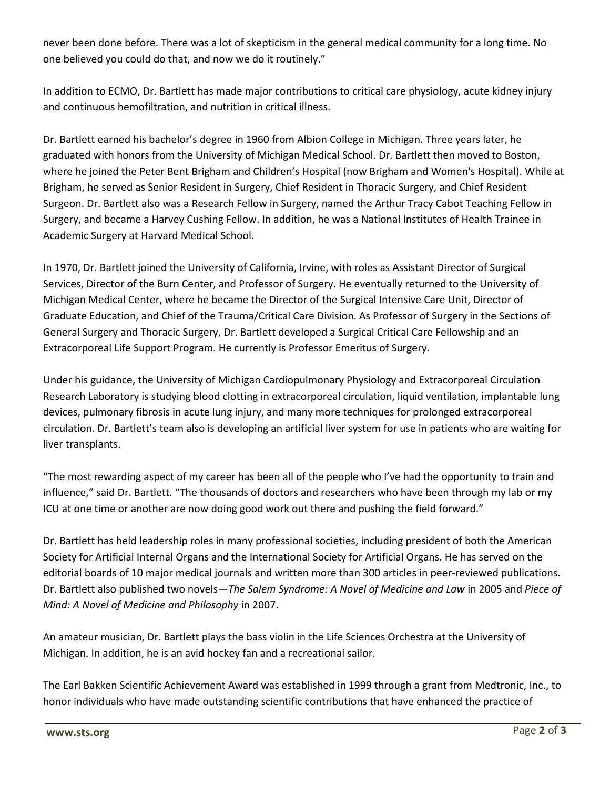never been done before. There was a lot of skepticism in the general medical community for a long time. No one believed you could do that, and now we do it routinely."

In addition to ECMO, Dr. Bartlett has made major contributions to critical care physiology, acute kidney injury and continuous hemofiltration, and nutrition in critical illness.

Dr. Bartlett earned his bachelor's degree in 1960 from Albion College in Michigan. Three years later, he graduated with honors from the University of Michigan Medical School. Dr. Bartlett then moved to Boston, where he joined the Peter Bent Brigham and Children's Hospital (now Brigham and Women's Hospital). While at Brigham, he served as Senior Resident in Surgery, Chief Resident in Thoracic Surgery, and Chief Resident Surgeon. Dr. Bartlett also was a Research Fellow in Surgery, named the Arthur Tracy Cabot Teaching Fellow in Surgery, and became a Harvey Cushing Fellow. In addition, he was a National Institutes of Health Trainee in Academic Surgery at Harvard Medical School.

In 1970, Dr. Bartlett joined the University of California, Irvine, with roles as Assistant Director of Surgical Services, Director of the Burn Center, and Professor of Surgery. He eventually returned to the University of Michigan Medical Center, where he became the Director of the Surgical Intensive Care Unit, Director of Graduate Education, and Chief of the Trauma/Critical Care Division. As Professor of Surgery in the Sections of General Surgery and Thoracic Surgery, Dr. Bartlett developed a Surgical Critical Care Fellowship and an Extracorporeal Life Support Program. He currently is Professor Emeritus of Surgery.

Under his guidance, the University of Michigan Cardiopulmonary Physiology and Extracorporeal Circulation Research Laboratory is studying blood clotting in extracorporeal circulation, liquid ventilation, implantable lung devices, pulmonary fibrosis in acute lung injury, and many more techniques for prolonged extracorporeal circulation. Dr. Bartlett's team also is developing an artificial liver system for use in patients who are waiting for liver transplants.

"The most rewarding aspect of my career has been all of the people who I've had the opportunity to train and influence," said Dr. Bartlett. "The thousands of doctors and researchers who have been through my lab or my ICU at one time or another are now doing good work out there and pushing the field forward."

Dr. Bartlett has held leadership roles in many professional societies, including president of both the American Society for Artificial Internal Organs and the International Society for Artificial Organs. He has served on the editorial boards of 10 major medical journals and written more than 300 articles in peer-reviewed publications. Dr. Bartlett also published two novels—*The Salem Syndrome: A Novel of Medicine and Law* in 2005 and *Piece of Mind: A Novel of Medicine and Philosophy* in 2007.

An amateur musician, Dr. Bartlett plays the bass violin in the Life Sciences Orchestra at the University of Michigan. In addition, he is an avid hockey fan and a recreational sailor.

The Earl Bakken Scientific Achievement Award was established in 1999 through a grant from Medtronic, Inc., to honor individuals who have made outstanding scientific contributions that have enhanced the practice of